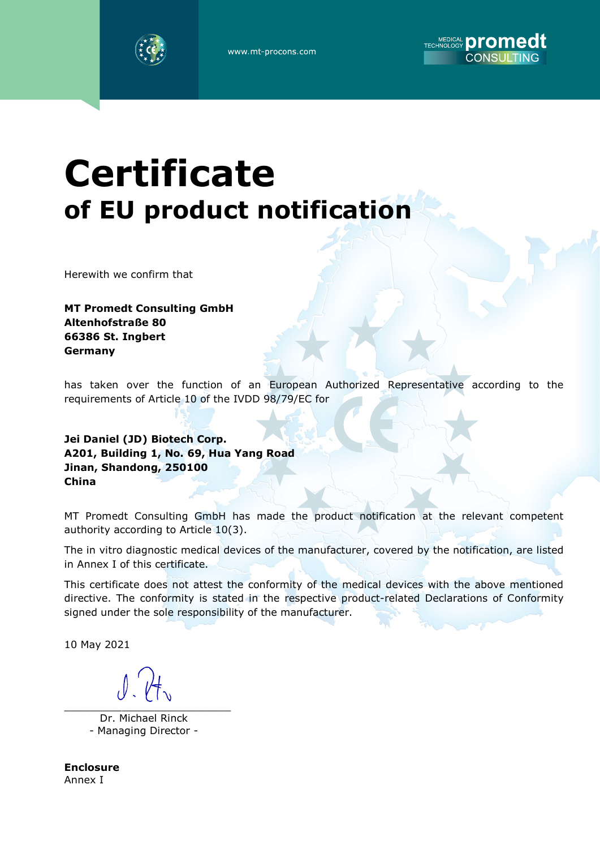



## **Certificate** of EU product notification

Herewith we confirm that

MT Promedt Consulting GmbH Altenhofstraße 80 66386 St. Ingbert Germany

has taken over the function of an European Authorized Representative according to the requirements of Article 10 of the IVDD 98/79/EC for

Jei Daniel (JD) Biotech Corp. A201, Building 1, No. 69, Hua Yang Road Jinan, Shandong, 250100 China

MT Promedt Consulting GmbH has made the product notification at the relevant competent authority according to Article 10(3).

The in vitro diagnostic medical devices of the manufacturer, covered by the notification, are listed in Annex I of this certificate.

This certificate does not attest the conformity of the medical devices with the above mentioned directive. The conformity is stated in the respective product-related Declarations of Conformity signed under the sole responsibility of the manufacturer.

10 May 2021

\_\_\_\_\_\_\_\_\_\_\_\_\_\_\_\_\_\_\_\_\_\_\_\_\_\_

 Dr. Michael Rinck - Managing Director -

Enclosure Annex I